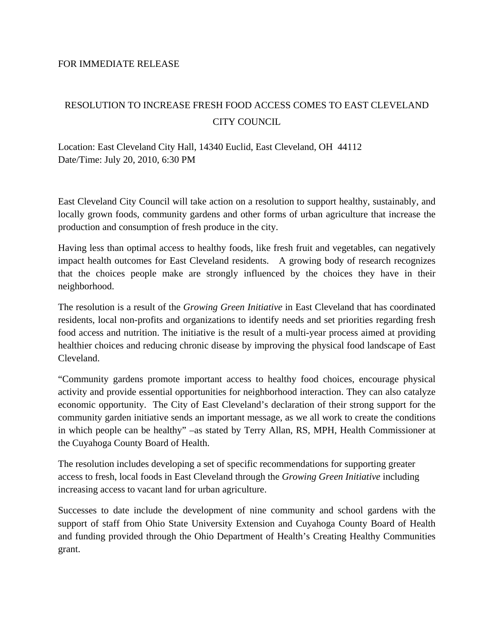## FOR IMMEDIATE RELEASE

## RESOLUTION TO INCREASE FRESH FOOD ACCESS COMES TO EAST CLEVELAND CITY COUNCIL

Location: East Cleveland City Hall, 14340 Euclid, East Cleveland, OH 44112 Date/Time: July 20, 2010, 6:30 PM

East Cleveland City Council will take action on a resolution to support healthy, sustainably, and locally grown foods, community gardens and other forms of urban agriculture that increase the production and consumption of fresh produce in the city.

Having less than optimal access to healthy foods, like fresh fruit and vegetables, can negatively impact health outcomes for East Cleveland residents. A growing body of research recognizes that the choices people make are strongly influenced by the choices they have in their neighborhood.

The resolution is a result of the *Growing Green Initiative* in East Cleveland that has coordinated residents, local non-profits and organizations to identify needs and set priorities regarding fresh food access and nutrition. The initiative is the result of a multi-year process aimed at providing healthier choices and reducing chronic disease by improving the physical food landscape of East Cleveland.

"Community gardens promote important access to healthy food choices, encourage physical activity and provide essential opportunities for neighborhood interaction. They can also catalyze economic opportunity. The City of East Cleveland's declaration of their strong support for the community garden initiative sends an important message, as we all work to create the conditions in which people can be healthy" –as stated by Terry Allan, RS, MPH, Health Commissioner at the Cuyahoga County Board of Health.

The resolution includes developing a set of specific recommendations for supporting greater access to fresh, local foods in East Cleveland through the *Growing Green Initiative* including increasing access to vacant land for urban agriculture.

Successes to date include the development of nine community and school gardens with the support of staff from Ohio State University Extension and Cuyahoga County Board of Health and funding provided through the Ohio Department of Health's Creating Healthy Communities grant.